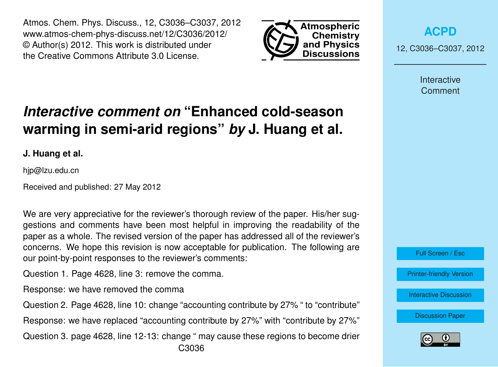Atmos. Chem. Phys. Discuss., 12, C3036–C3037, 2012 www.atmos-chem-phys-discuss.net/12/C3036/2012/ © Author(s) 2012. This work is distributed under the Creative Commons Attribute 3.0 License.



**[ACPD](http://www.atmos-chem-phys-discuss.net)**

12, C3036–C3037, 2012

**Interactive Comment** 

Full Screen / Esc

[Printer-friendly Version](http://www.atmos-chem-phys-discuss.net/12/C3036/2012/acpd-12-C3036-2012-print.pdf)

[Interactive Discussion](http://www.atmos-chem-phys-discuss.net/12/4627/2012/acpd-12-4627-2012-discussion.html)

[Discussion Paper](http://www.atmos-chem-phys-discuss.net/12/4627/2012/acpd-12-4627-2012.pdf)



## *Interactive comment on* **"Enhanced cold-season warming in semi-arid regions"** *by* **J. Huang et al.**

**J. Huang et al.**

hjp@lzu.edu.cn

Received and published: 27 May 2012

We are very appreciative for the reviewer's thorough review of the paper. His/her suggestions and comments have been most helpful in improving the readability of the paper as a whole. The revised version of the paper has addressed all of the reviewer's concerns. We hope this revision is now acceptable for publication. The following are our point-by-point responses to the reviewer's comments:

Question 1. Page 4628, line 3: remove the comma.

Response: we have removed the comma

Question 2. Page 4628, line 10: change "accounting contribute by 27% " to "contribute"

Response: we have replaced "accounting contribute by 27%" with "contribute by 27%"

Question 3. page 4628, line 12-13: change " may cause these regions to become drier C3036